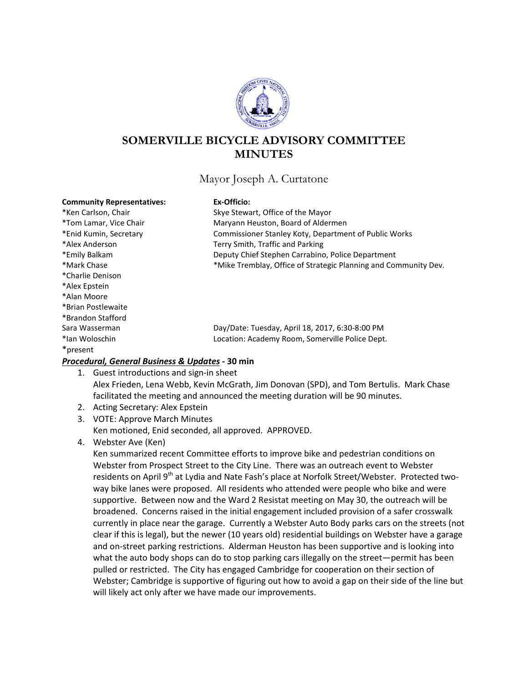

# **SOMERVILLE BICYCLE ADVISORY COMMITTEE MINUTES**

# Mayor Joseph A. Curtatone

### **Community Representatives: Ex-Officio:**

| COMMITTEL INCRECIGATIVES. | י טווויט.                                                       |
|---------------------------|-----------------------------------------------------------------|
| *Ken Carlson, Chair       | Skye Stewart, Office of the Mayor                               |
| *Tom Lamar, Vice Chair    | Maryann Heuston, Board of Aldermen                              |
| *Enid Kumin, Secretary    | Commissioner Stanley Koty, Department of Public Works           |
| *Alex Anderson            | Terry Smith, Traffic and Parking                                |
| *Emily Balkam             | Deputy Chief Stephen Carrabino, Police Department               |
| *Mark Chase               | *Mike Tremblay, Office of Strategic Planning and Community Dev. |
| *Charlie Denison          |                                                                 |
| *Alex Epstein             |                                                                 |
| *Alan Moore               |                                                                 |
| *Brian Postlewaite        |                                                                 |
| *Brandon Stafford         |                                                                 |
| Sara Wasserman            | Day/Date: Tuesday, April 18, 2017, 6:30-8:00 PM                 |
| *lan Woloschin            | Location: Academy Room, Somerville Police Dept.                 |
| *present                  |                                                                 |

# *Procedural, General Business & Updates -* **30 min**

- 1. Guest introductions and sign-in sheet Alex Frieden, Lena Webb, Kevin McGrath, Jim Donovan (SPD), and Tom Bertulis. Mark Chase facilitated the meeting and announced the meeting duration will be 90 minutes.
- 2. Acting Secretary: Alex Epstein
- 3. VOTE: Approve March Minutes Ken motioned, Enid seconded, all approved. APPROVED.
- 4. Webster Ave (Ken)

Ken summarized recent Committee efforts to improve bike and pedestrian conditions on Webster from Prospect Street to the City Line. There was an outreach event to Webster residents on April 9<sup>th</sup> at Lydia and Nate Fash's place at Norfolk Street/Webster. Protected twoway bike lanes were proposed. All residents who attended were people who bike and were supportive. Between now and the Ward 2 Resistat meeting on May 30, the outreach will be broadened. Concerns raised in the initial engagement included provision of a safer crosswalk currently in place near the garage. Currently a Webster Auto Body parks cars on the streets (not clear if this is legal), but the newer (10 years old) residential buildings on Webster have a garage and on-street parking restrictions. Alderman Heuston has been supportive and is looking into what the auto body shops can do to stop parking cars illegally on the street—permit has been pulled or restricted. The City has engaged Cambridge for cooperation on their section of Webster; Cambridge is supportive of figuring out how to avoid a gap on their side of the line but will likely act only after we have made our improvements.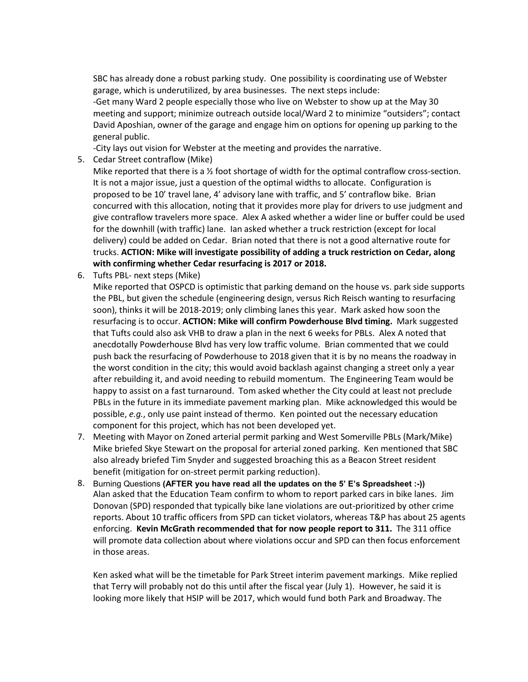SBC has already done a robust parking study. One possibility is coordinating use of Webster garage, which is underutilized, by area businesses. The next steps include:

-Get many Ward 2 people especially those who live on Webster to show up at the May 30 meeting and support; minimize outreach outside local/Ward 2 to minimize "outsiders"; contact David Aposhian, owner of the garage and engage him on options for opening up parking to the general public.

-City lays out vision for Webster at the meeting and provides the narrative.

5. Cedar Street contraflow (Mike)

Mike reported that there is a  $\frac{1}{2}$  foot shortage of width for the optimal contraflow cross-section. It is not a major issue, just a question of the optimal widths to allocate. Configuration is proposed to be 10' travel lane, 4' advisory lane with traffic, and 5' contraflow bike. Brian concurred with this allocation, noting that it provides more play for drivers to use judgment and give contraflow travelers more space. Alex A asked whether a wider line or buffer could be used for the downhill (with traffic) lane. Ian asked whether a truck restriction (except for local delivery) could be added on Cedar. Brian noted that there is not a good alternative route for trucks. **ACTION: Mike will investigate possibility of adding a truck restriction on Cedar, along with confirming whether Cedar resurfacing is 2017 or 2018.**

6. Tufts PBL- next steps (Mike)

Mike reported that OSPCD is optimistic that parking demand on the house vs. park side supports the PBL, but given the schedule (engineering design, versus Rich Reisch wanting to resurfacing soon), thinks it will be 2018-2019; only climbing lanes this year. Mark asked how soon the resurfacing is to occur. **ACTION: Mike will confirm Powderhouse Blvd timing.** Mark suggested that Tufts could also ask VHB to draw a plan in the next 6 weeks for PBLs. Alex A noted that anecdotally Powderhouse Blvd has very low traffic volume. Brian commented that we could push back the resurfacing of Powderhouse to 2018 given that it is by no means the roadway in the worst condition in the city; this would avoid backlash against changing a street only a year after rebuilding it, and avoid needing to rebuild momentum. The Engineering Team would be happy to assist on a fast turnaround. Tom asked whether the City could at least not preclude PBLs in the future in its immediate pavement marking plan. Mike acknowledged this would be possible, *e.g.*, only use paint instead of thermo. Ken pointed out the necessary education component for this project, which has not been developed yet.

- 7. Meeting with Mayor on Zoned arterial permit parking and West Somerville PBLs (Mark/Mike) Mike briefed Skye Stewart on the proposal for arterial zoned parking. Ken mentioned that SBC also already briefed Tim Snyder and suggested broaching this as a Beacon Street resident benefit (mitigation for on-street permit parking reduction).
- 8. Burning Questions **(AFTER you have read all the updates on the 5' E's Spreadsheet :-))** Alan asked that the Education Team confirm to whom to report parked cars in bike lanes. Jim Donovan (SPD) responded that typically bike lane violations are out-prioritized by other crime reports. About 10 traffic officers from SPD can ticket violators, whereas T&P has about 25 agents enforcing. **Kevin McGrath recommended that for now people report to 311.** The 311 office will promote data collection about where violations occur and SPD can then focus enforcement in those areas.

Ken asked what will be the timetable for Park Street interim pavement markings. Mike replied that Terry will probably not do this until after the fiscal year (July 1). However, he said it is looking more likely that HSIP will be 2017, which would fund both Park and Broadway. The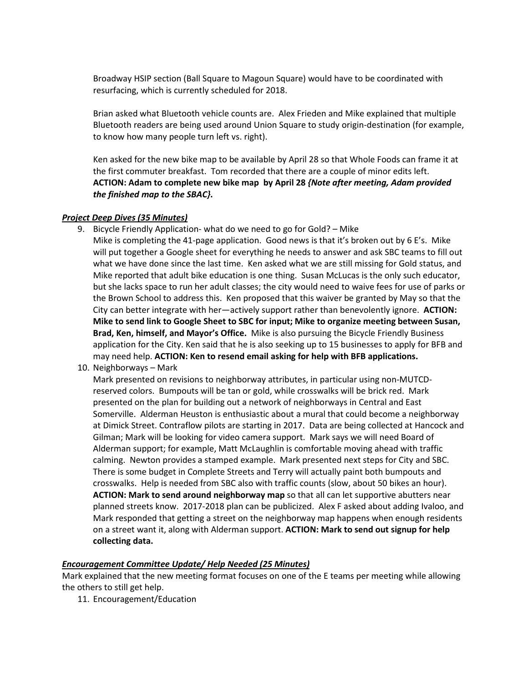Broadway HSIP section (Ball Square to Magoun Square) would have to be coordinated with resurfacing, which is currently scheduled for 2018.

Brian asked what Bluetooth vehicle counts are. Alex Frieden and Mike explained that multiple Bluetooth readers are being used around Union Square to study origin-destination (for example, to know how many people turn left vs. right).

Ken asked for the new bike map to be available by April 28 so that Whole Foods can frame it at the first commuter breakfast. Tom recorded that there are a couple of minor edits left. **ACTION: Adam to complete new bike map by April 28** *{Note after meeting, Adam provided the finished map to the SBAC}***.**

### *Project Deep Dives (35 Minutes)*

9. Bicycle Friendly Application- what do we need to go for Gold? – Mike

Mike is completing the 41-page application. Good news is that it's broken out by 6 E's. Mike will put together a Google sheet for everything he needs to answer and ask SBC teams to fill out what we have done since the last time. Ken asked what we are still missing for Gold status, and Mike reported that adult bike education is one thing. Susan McLucas is the only such educator, but she lacks space to run her adult classes; the city would need to waive fees for use of parks or the Brown School to address this. Ken proposed that this waiver be granted by May so that the City can better integrate with her—actively support rather than benevolently ignore. **ACTION: Mike to send link to Google Sheet to SBC for input; Mike to organize meeting between Susan, Brad, Ken, himself, and Mayor's Office.** Mike is also pursuing the Bicycle Friendly Business application for the City. Ken said that he is also seeking up to 15 businesses to apply for BFB and may need help. **ACTION: Ken to resend email asking for help with BFB applications.**

10. Neighborways – Mark

Mark presented on revisions to neighborway attributes, in particular using non-MUTCDreserved colors. Bumpouts will be tan or gold, while crosswalks will be brick red. Mark presented on the plan for building out a network of neighborways in Central and East Somerville. Alderman Heuston is enthusiastic about a mural that could become a neighborway at Dimick Street. Contraflow pilots are starting in 2017. Data are being collected at Hancock and Gilman; Mark will be looking for video camera support. Mark says we will need Board of Alderman support; for example, Matt McLaughlin is comfortable moving ahead with traffic calming. Newton provides a stamped example. Mark presented next steps for City and SBC. There is some budget in Complete Streets and Terry will actually paint both bumpouts and crosswalks. Help is needed from SBC also with traffic counts (slow, about 50 bikes an hour). **ACTION: Mark to send around neighborway map** so that all can let supportive abutters near planned streets know. 2017-2018 plan can be publicized. Alex F asked about adding Ivaloo, and Mark responded that getting a street on the neighborway map happens when enough residents on a street want it, along with Alderman support. **ACTION: Mark to send out signup for help collecting data.**

# *Encouragement Committee Update/ Help Needed (25 Minutes)*

Mark explained that the new meeting format focuses on one of the E teams per meeting while allowing the others to still get help.

11. Encouragement/Education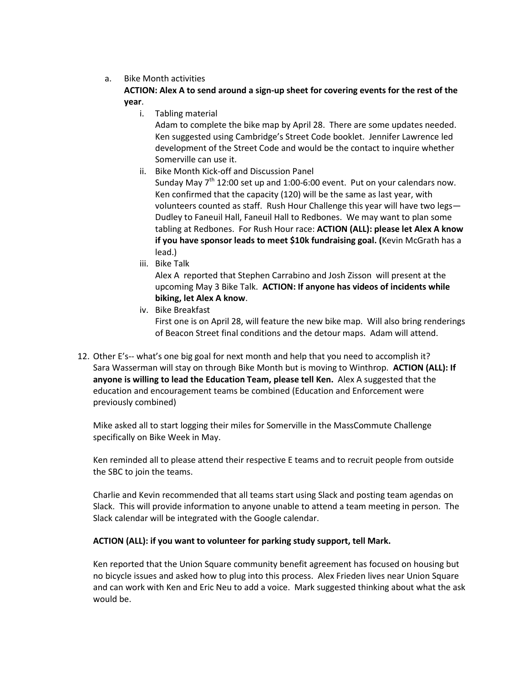# a. Bike Month activities

# **ACTION: Alex A to send around a sign-up sheet for covering events for the rest of the year**.

i. Tabling material

Adam to complete the bike map by April 28. There are some updates needed. Ken suggested using Cambridge's Street Code booklet. Jennifer Lawrence led development of the Street Code and would be the contact to inquire whether Somerville can use it.

ii. Bike Month Kick-off and Discussion Panel

Sunday May  $7<sup>th</sup>$  12:00 set up and 1:00-6:00 event. Put on your calendars now. Ken confirmed that the capacity (120) will be the same as last year, with volunteers counted as staff. Rush Hour Challenge this year will have two legs— Dudley to Faneuil Hall, Faneuil Hall to Redbones. We may want to plan some tabling at Redbones. For Rush Hour race: **ACTION (ALL): please let Alex A know if you have sponsor leads to meet \$10k fundraising goal. (Kevin McGrath has a** lead.)

iii. Bike Talk

Alex A reported that Stephen Carrabino and Josh Zisson will present at the upcoming May 3 Bike Talk. **ACTION: If anyone has videos of incidents while biking, let Alex A know**.

iv. Bike Breakfast

First one is on April 28, will feature the new bike map. Will also bring renderings of Beacon Street final conditions and the detour maps. Adam will attend.

12. Other E's-- what's one big goal for next month and help that you need to accomplish it? Sara Wasserman will stay on through Bike Month but is moving to Winthrop. **ACTION (ALL): If anyone is willing to lead the Education Team, please tell Ken.** Alex A suggested that the education and encouragement teams be combined (Education and Enforcement were previously combined)

Mike asked all to start logging their miles for Somerville in the MassCommute Challenge specifically on Bike Week in May.

Ken reminded all to please attend their respective E teams and to recruit people from outside the SBC to join the teams.

Charlie and Kevin recommended that all teams start using Slack and posting team agendas on Slack. This will provide information to anyone unable to attend a team meeting in person. The Slack calendar will be integrated with the Google calendar.

# **ACTION (ALL): if you want to volunteer for parking study support, tell Mark.**

Ken reported that the Union Square community benefit agreement has focused on housing but no bicycle issues and asked how to plug into this process. Alex Frieden lives near Union Square and can work with Ken and Eric Neu to add a voice. Mark suggested thinking about what the ask would be.